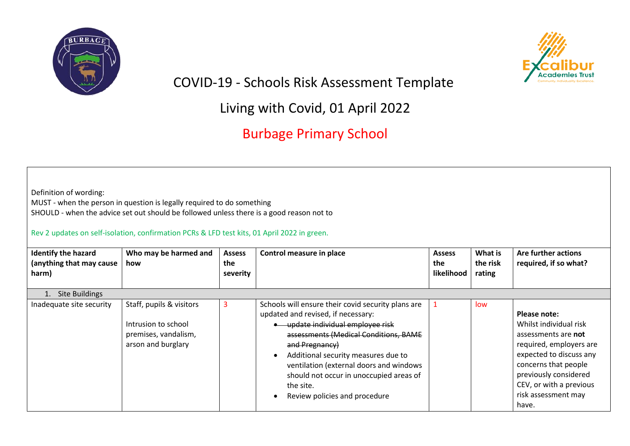



COVID-19 - Schools Risk Assessment Template

Living with Covid, 01 April 2022

Burbage Primary School

MUST - when the person in question is legally required to do something SHOULD - when the advice set out should be followed unless there is a good reason not to

## Rev 2 updates on self-isolation, confirmation PCRs & LFD test kits, 01 April 2022 in green.

| <b>Identify the hazard</b><br>(anything that may cause<br>harm) | Who may be harmed and<br>how                                                                  | <b>Assess</b><br>the<br>severity | Control measure in place                                                                                                                                                                                                                                                                                                                                          | <b>Assess</b><br>the<br>likelihood | What is<br>the risk<br>rating | Are further actions<br>required, if so what?                                                                                                                                                                                    |
|-----------------------------------------------------------------|-----------------------------------------------------------------------------------------------|----------------------------------|-------------------------------------------------------------------------------------------------------------------------------------------------------------------------------------------------------------------------------------------------------------------------------------------------------------------------------------------------------------------|------------------------------------|-------------------------------|---------------------------------------------------------------------------------------------------------------------------------------------------------------------------------------------------------------------------------|
| <b>Site Buildings</b>                                           |                                                                                               |                                  |                                                                                                                                                                                                                                                                                                                                                                   |                                    |                               |                                                                                                                                                                                                                                 |
| Inadequate site security                                        | Staff, pupils & visitors<br>Intrusion to school<br>premises, vandalism,<br>arson and burglary | 3                                | Schools will ensure their covid security plans are<br>updated and revised, if necessary:<br>update individual employee risk<br>assessments (Medical Conditions, BAME<br>and Pregnancy)<br>Additional security measures due to<br>ventilation (external doors and windows<br>should not occur in unoccupied areas of<br>the site.<br>Review policies and procedure |                                    | low                           | Please note:<br>Whilst individual risk<br>assessments are not<br>required, employers are<br>expected to discuss any<br>concerns that people<br>previously considered<br>CEV, or with a previous<br>risk assessment may<br>have. |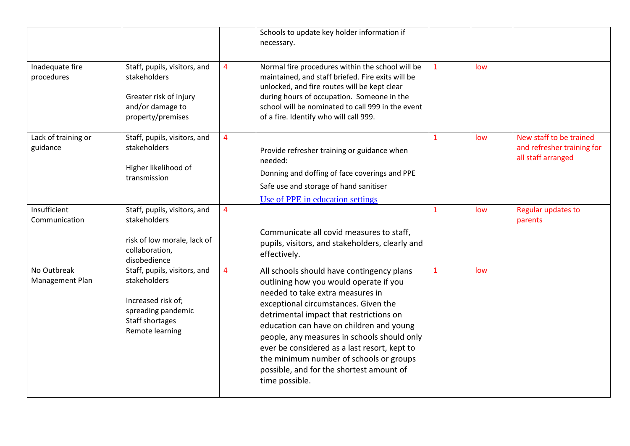|                                 |                                                                                                                                |                | Schools to update key holder information if<br>necessary.                                                                                                                                                                                                                                                                                                                                                                                                      |              |     |                                                                             |
|---------------------------------|--------------------------------------------------------------------------------------------------------------------------------|----------------|----------------------------------------------------------------------------------------------------------------------------------------------------------------------------------------------------------------------------------------------------------------------------------------------------------------------------------------------------------------------------------------------------------------------------------------------------------------|--------------|-----|-----------------------------------------------------------------------------|
| Inadequate fire<br>procedures   | Staff, pupils, visitors, and<br>stakeholders<br>Greater risk of injury<br>and/or damage to<br>property/premises                | 4              | Normal fire procedures within the school will be<br>maintained, and staff briefed. Fire exits will be<br>unlocked, and fire routes will be kept clear<br>during hours of occupation. Someone in the<br>school will be nominated to call 999 in the event<br>of a fire. Identify who will call 999.                                                                                                                                                             | $\mathbf{1}$ | low |                                                                             |
| Lack of training or<br>guidance | Staff, pupils, visitors, and<br>stakeholders<br>Higher likelihood of<br>transmission                                           | $\overline{4}$ | Provide refresher training or guidance when<br>needed:<br>Donning and doffing of face coverings and PPE<br>Safe use and storage of hand sanitiser<br>Use of PPE in education settings                                                                                                                                                                                                                                                                          | $\mathbf{1}$ | low | New staff to be trained<br>and refresher training for<br>all staff arranged |
| Insufficient<br>Communication   | Staff, pupils, visitors, and<br>stakeholders<br>risk of low morale, lack of<br>collaboration,<br>disobedience                  | $\overline{4}$ | Communicate all covid measures to staff,<br>pupils, visitors, and stakeholders, clearly and<br>effectively.                                                                                                                                                                                                                                                                                                                                                    | 1            | low | Regular updates to<br>parents                                               |
| No Outbreak<br>Management Plan  | Staff, pupils, visitors, and<br>stakeholders<br>Increased risk of;<br>spreading pandemic<br>Staff shortages<br>Remote learning | $\overline{4}$ | All schools should have contingency plans<br>outlining how you would operate if you<br>needed to take extra measures in<br>exceptional circumstances. Given the<br>detrimental impact that restrictions on<br>education can have on children and young<br>people, any measures in schools should only<br>ever be considered as a last resort, kept to<br>the minimum number of schools or groups<br>possible, and for the shortest amount of<br>time possible. | $\mathbf{1}$ | low |                                                                             |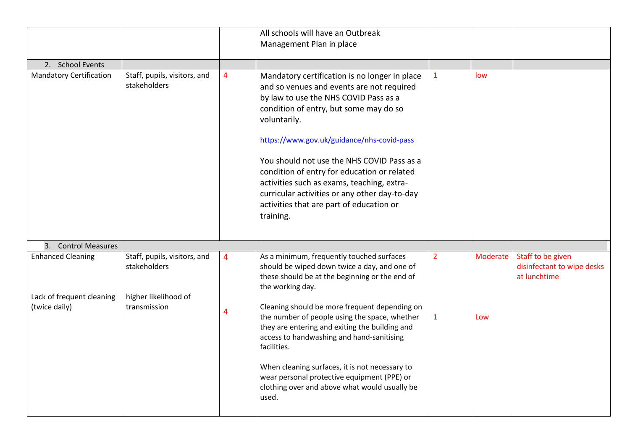|                                                                        |                                                                                      |                     | All schools will have an Outbreak<br>Management Plan in place                                                                                                                                                                                                                                                                                                                                                                                                                                                                              |                                |                 |                                                                 |
|------------------------------------------------------------------------|--------------------------------------------------------------------------------------|---------------------|--------------------------------------------------------------------------------------------------------------------------------------------------------------------------------------------------------------------------------------------------------------------------------------------------------------------------------------------------------------------------------------------------------------------------------------------------------------------------------------------------------------------------------------------|--------------------------------|-----------------|-----------------------------------------------------------------|
| 2. School Events                                                       |                                                                                      |                     |                                                                                                                                                                                                                                                                                                                                                                                                                                                                                                                                            |                                |                 |                                                                 |
| <b>Mandatory Certification</b>                                         | Staff, pupils, visitors, and<br>stakeholders                                         | 4                   | Mandatory certification is no longer in place<br>and so venues and events are not required<br>by law to use the NHS COVID Pass as a<br>condition of entry, but some may do so<br>voluntarily.<br>https://www.gov.uk/guidance/nhs-covid-pass<br>You should not use the NHS COVID Pass as a<br>condition of entry for education or related<br>activities such as exams, teaching, extra-<br>curricular activities or any other day-to-day<br>activities that are part of education or<br>training.                                           | $\mathbf{1}$                   | low             |                                                                 |
| 3. Control Measures                                                    |                                                                                      |                     |                                                                                                                                                                                                                                                                                                                                                                                                                                                                                                                                            |                                |                 |                                                                 |
| <b>Enhanced Cleaning</b><br>Lack of frequent cleaning<br>(twice daily) | Staff, pupils, visitors, and<br>stakeholders<br>higher likelihood of<br>transmission | $\overline{4}$<br>4 | As a minimum, frequently touched surfaces<br>should be wiped down twice a day, and one of<br>these should be at the beginning or the end of<br>the working day.<br>Cleaning should be more frequent depending on<br>the number of people using the space, whether<br>they are entering and exiting the building and<br>access to handwashing and hand-sanitising<br>facilities.<br>When cleaning surfaces, it is not necessary to<br>wear personal protective equipment (PPE) or<br>clothing over and above what would usually be<br>used. | $\overline{2}$<br>$\mathbf{1}$ | Moderate<br>Low | Staff to be given<br>disinfectant to wipe desks<br>at lunchtime |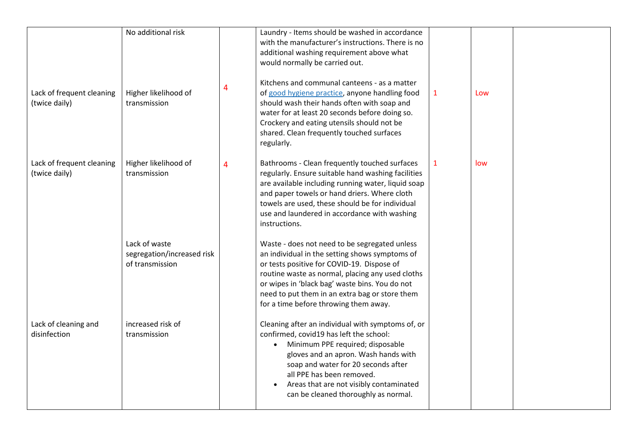| Lack of frequent cleaning<br>(twice daily) | No additional risk<br>Higher likelihood of<br>transmission     | 4 | Laundry - Items should be washed in accordance<br>with the manufacturer's instructions. There is no<br>additional washing requirement above what<br>would normally be carried out.<br>Kitchens and communal canteens - as a matter<br>of good hygiene practice, anyone handling food<br>should wash their hands often with soap and<br>water for at least 20 seconds before doing so.<br>Crockery and eating utensils should not be<br>shared. Clean frequently touched surfaces | $\mathbf{1}$ | Low |  |
|--------------------------------------------|----------------------------------------------------------------|---|----------------------------------------------------------------------------------------------------------------------------------------------------------------------------------------------------------------------------------------------------------------------------------------------------------------------------------------------------------------------------------------------------------------------------------------------------------------------------------|--------------|-----|--|
| Lack of frequent cleaning<br>(twice daily) | Higher likelihood of<br>transmission                           | 4 | regularly.<br>Bathrooms - Clean frequently touched surfaces<br>regularly. Ensure suitable hand washing facilities<br>are available including running water, liquid soap<br>and paper towels or hand driers. Where cloth<br>towels are used, these should be for individual<br>use and laundered in accordance with washing<br>instructions.                                                                                                                                      | $\mathbf{1}$ | low |  |
|                                            | Lack of waste<br>segregation/increased risk<br>of transmission |   | Waste - does not need to be segregated unless<br>an individual in the setting shows symptoms of<br>or tests positive for COVID-19. Dispose of<br>routine waste as normal, placing any used cloths<br>or wipes in 'black bag' waste bins. You do not<br>need to put them in an extra bag or store them<br>for a time before throwing them away.                                                                                                                                   |              |     |  |
| Lack of cleaning and<br>disinfection       | increased risk of<br>transmission                              |   | Cleaning after an individual with symptoms of, or<br>confirmed, covid19 has left the school:<br>Minimum PPE required; disposable<br>$\bullet$<br>gloves and an apron. Wash hands with<br>soap and water for 20 seconds after<br>all PPE has been removed.<br>Areas that are not visibly contaminated<br>can be cleaned thoroughly as normal.                                                                                                                                     |              |     |  |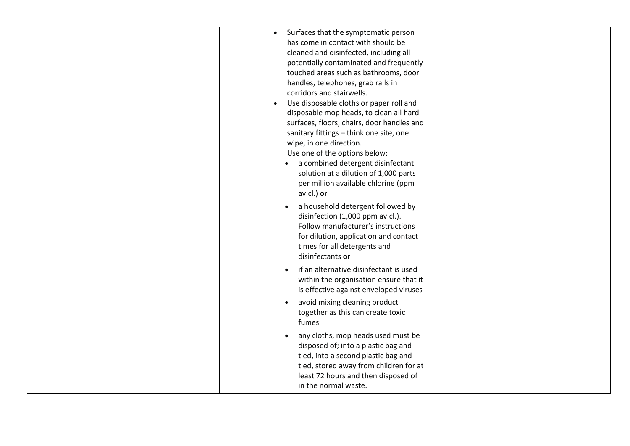| Surfaces that the symptomatic person<br>has come in contact with should be<br>cleaned and disinfected, including all<br>potentially contaminated and frequently<br>touched areas such as bathrooms, door<br>handles, telephones, grab rails in<br>corridors and stairwells.<br>Use disposable cloths or paper roll and<br>disposable mop heads, to clean all hard |
|-------------------------------------------------------------------------------------------------------------------------------------------------------------------------------------------------------------------------------------------------------------------------------------------------------------------------------------------------------------------|
| surfaces, floors, chairs, door handles and<br>sanitary fittings - think one site, one<br>wipe, in one direction.<br>Use one of the options below:<br>a combined detergent disinfectant<br>solution at a dilution of 1,000 parts<br>per million available chlorine (ppm<br>av.cl.) or                                                                              |
| a household detergent followed by<br>disinfection (1,000 ppm av.cl.).<br>Follow manufacturer's instructions<br>for dilution, application and contact<br>times for all detergents and<br>disinfectants or                                                                                                                                                          |
| if an alternative disinfectant is used<br>within the organisation ensure that it<br>is effective against enveloped viruses                                                                                                                                                                                                                                        |
| avoid mixing cleaning product<br>together as this can create toxic<br>fumes                                                                                                                                                                                                                                                                                       |
| any cloths, mop heads used must be<br>$\bullet$<br>disposed of; into a plastic bag and<br>tied, into a second plastic bag and<br>tied, stored away from children for at<br>least 72 hours and then disposed of<br>in the normal waste.                                                                                                                            |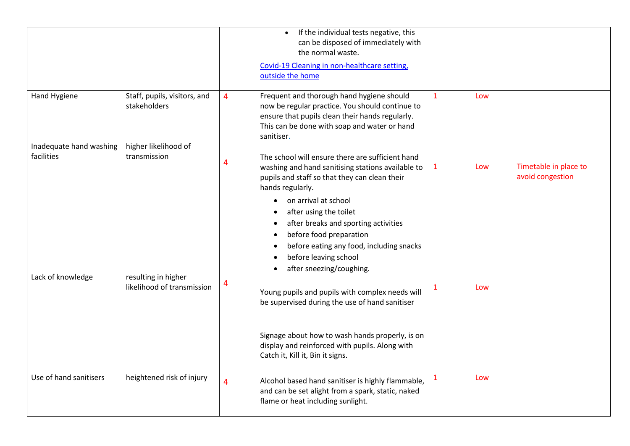|                                       |                                                   |                | If the individual tests negative, this<br>can be disposed of immediately with<br>the normal waste.<br>Covid-19 Cleaning in non-healthcare setting,<br>outside the home                                             |              |     |                                           |
|---------------------------------------|---------------------------------------------------|----------------|--------------------------------------------------------------------------------------------------------------------------------------------------------------------------------------------------------------------|--------------|-----|-------------------------------------------|
| Hand Hygiene                          | Staff, pupils, visitors, and<br>stakeholders      | 4              | Frequent and thorough hand hygiene should<br>now be regular practice. You should continue to<br>ensure that pupils clean their hands regularly.<br>This can be done with soap and water or hand<br>sanitiser.      | $\mathbf{1}$ | Low |                                           |
| Inadequate hand washing<br>facilities | higher likelihood of<br>transmission              | 4              | The school will ensure there are sufficient hand<br>washing and hand sanitising stations available to<br>pupils and staff so that they can clean their<br>hands regularly.                                         | $\mathbf{1}$ | Low | Timetable in place to<br>avoid congestion |
| Lack of knowledge                     | resulting in higher<br>likelihood of transmission | 4              | on arrival at school<br>after using the toilet<br>after breaks and sporting activities<br>before food preparation<br>before eating any food, including snacks<br>before leaving school<br>after sneezing/coughing. |              |     |                                           |
|                                       |                                                   |                | Young pupils and pupils with complex needs will<br>be supervised during the use of hand sanitiser                                                                                                                  | 1            | Low |                                           |
|                                       |                                                   |                | Signage about how to wash hands properly, is on<br>display and reinforced with pupils. Along with<br>Catch it, Kill it, Bin it signs.                                                                              |              |     |                                           |
| Use of hand sanitisers                | heightened risk of injury                         | $\overline{4}$ | Alcohol based hand sanitiser is highly flammable,<br>and can be set alight from a spark, static, naked<br>flame or heat including sunlight.                                                                        |              | Low |                                           |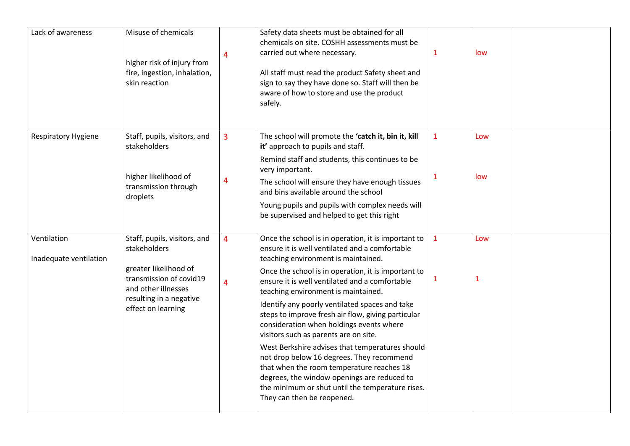| Lack of awareness                     | Misuse of chemicals<br>higher risk of injury from<br>fire, ingestion, inhalation,<br>skin reaction                                                                       | 4                                | Safety data sheets must be obtained for all<br>chemicals on site. COSHH assessments must be<br>carried out where necessary.<br>All staff must read the product Safety sheet and<br>sign to say they have done so. Staff will then be<br>aware of how to store and use the product<br>safely.                                                                                                                                                                                                                                                                                                                                                                                                                                                                            | $\mathbf{1}$                 | low                 |  |
|---------------------------------------|--------------------------------------------------------------------------------------------------------------------------------------------------------------------------|----------------------------------|-------------------------------------------------------------------------------------------------------------------------------------------------------------------------------------------------------------------------------------------------------------------------------------------------------------------------------------------------------------------------------------------------------------------------------------------------------------------------------------------------------------------------------------------------------------------------------------------------------------------------------------------------------------------------------------------------------------------------------------------------------------------------|------------------------------|---------------------|--|
| <b>Respiratory Hygiene</b>            | Staff, pupils, visitors, and<br>stakeholders<br>higher likelihood of<br>transmission through<br>droplets                                                                 | 3<br>4                           | The school will promote the 'catch it, bin it, kill<br>it' approach to pupils and staff.<br>Remind staff and students, this continues to be<br>very important.<br>The school will ensure they have enough tissues<br>and bins available around the school<br>Young pupils and pupils with complex needs will<br>be supervised and helped to get this right                                                                                                                                                                                                                                                                                                                                                                                                              | $\mathbf{1}$<br>$\mathbf{1}$ | Low<br>low          |  |
| Ventilation<br>Inadequate ventilation | Staff, pupils, visitors, and<br>stakeholders<br>greater likelihood of<br>transmission of covid19<br>and other illnesses<br>resulting in a negative<br>effect on learning | $\overline{4}$<br>$\overline{4}$ | Once the school is in operation, it is important to<br>ensure it is well ventilated and a comfortable<br>teaching environment is maintained.<br>Once the school is in operation, it is important to<br>ensure it is well ventilated and a comfortable<br>teaching environment is maintained.<br>Identify any poorly ventilated spaces and take<br>steps to improve fresh air flow, giving particular<br>consideration when holdings events where<br>visitors such as parents are on site.<br>West Berkshire advises that temperatures should<br>not drop below 16 degrees. They recommend<br>that when the room temperature reaches 18<br>degrees, the window openings are reduced to<br>the minimum or shut until the temperature rises.<br>They can then be reopened. | $\mathbf{1}$<br>$\mathbf{1}$ | Low<br>$\mathbf{1}$ |  |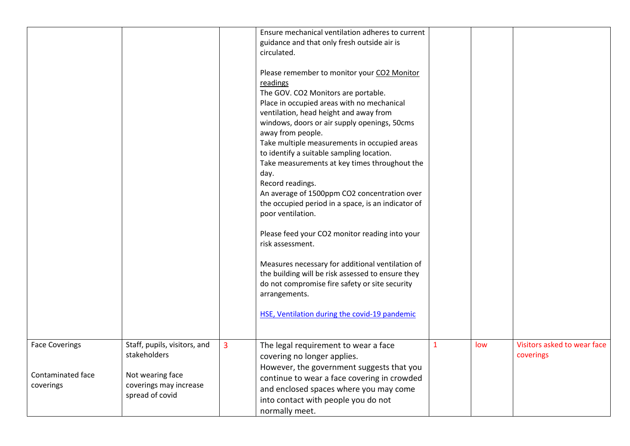|                                |                                            |                | Ensure mechanical ventilation adheres to current<br>guidance and that only fresh outside air is<br>circulated.                                                                                                                                                                                                                                                                                                                                                                                                                                                                                                                                                                                                                                                                                                                                                      |   |     |                             |
|--------------------------------|--------------------------------------------|----------------|---------------------------------------------------------------------------------------------------------------------------------------------------------------------------------------------------------------------------------------------------------------------------------------------------------------------------------------------------------------------------------------------------------------------------------------------------------------------------------------------------------------------------------------------------------------------------------------------------------------------------------------------------------------------------------------------------------------------------------------------------------------------------------------------------------------------------------------------------------------------|---|-----|-----------------------------|
|                                |                                            |                | Please remember to monitor your CO2 Monitor<br>readings<br>The GOV. CO2 Monitors are portable.<br>Place in occupied areas with no mechanical<br>ventilation, head height and away from<br>windows, doors or air supply openings, 50cms<br>away from people.<br>Take multiple measurements in occupied areas<br>to identify a suitable sampling location.<br>Take measurements at key times throughout the<br>day.<br>Record readings.<br>An average of 1500ppm CO2 concentration over<br>the occupied period in a space, is an indicator of<br>poor ventilation.<br>Please feed your CO2 monitor reading into your<br>risk assessment.<br>Measures necessary for additional ventilation of<br>the building will be risk assessed to ensure they<br>do not compromise fire safety or site security<br>arrangements.<br>HSE, Ventilation during the covid-19 pandemic |   |     |                             |
| <b>Face Coverings</b>          | Staff, pupils, visitors, and               | $\overline{3}$ | The legal requirement to wear a face                                                                                                                                                                                                                                                                                                                                                                                                                                                                                                                                                                                                                                                                                                                                                                                                                                | 1 | low | Visitors asked to wear face |
|                                | stakeholders                               |                | covering no longer applies.<br>However, the government suggests that you                                                                                                                                                                                                                                                                                                                                                                                                                                                                                                                                                                                                                                                                                                                                                                                            |   |     | coverings                   |
| Contaminated face<br>coverings | Not wearing face<br>coverings may increase |                | continue to wear a face covering in crowded                                                                                                                                                                                                                                                                                                                                                                                                                                                                                                                                                                                                                                                                                                                                                                                                                         |   |     |                             |
|                                | spread of covid                            |                | and enclosed spaces where you may come<br>into contact with people you do not                                                                                                                                                                                                                                                                                                                                                                                                                                                                                                                                                                                                                                                                                                                                                                                       |   |     |                             |
|                                |                                            |                | normally meet.                                                                                                                                                                                                                                                                                                                                                                                                                                                                                                                                                                                                                                                                                                                                                                                                                                                      |   |     |                             |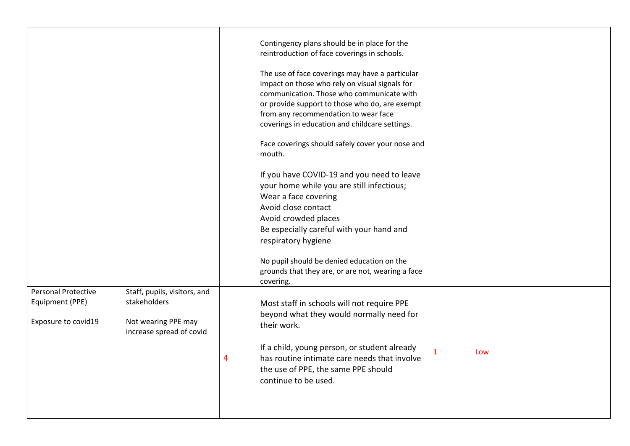|                            |                                                 | Contingency plans should be in place for the<br>reintroduction of face coverings in schools.                                                                                                                                                                                               |   |     |  |
|----------------------------|-------------------------------------------------|--------------------------------------------------------------------------------------------------------------------------------------------------------------------------------------------------------------------------------------------------------------------------------------------|---|-----|--|
|                            |                                                 | The use of face coverings may have a particular<br>impact on those who rely on visual signals for<br>communication. Those who communicate with<br>or provide support to those who do, are exempt<br>from any recommendation to wear face<br>coverings in education and childcare settings. |   |     |  |
|                            |                                                 | Face coverings should safely cover your nose and<br>mouth.                                                                                                                                                                                                                                 |   |     |  |
|                            |                                                 | If you have COVID-19 and you need to leave<br>your home while you are still infectious;<br>Wear a face covering                                                                                                                                                                            |   |     |  |
|                            |                                                 | Avoid close contact                                                                                                                                                                                                                                                                        |   |     |  |
|                            |                                                 | Avoid crowded places                                                                                                                                                                                                                                                                       |   |     |  |
|                            |                                                 | Be especially careful with your hand and                                                                                                                                                                                                                                                   |   |     |  |
|                            |                                                 | respiratory hygiene                                                                                                                                                                                                                                                                        |   |     |  |
|                            |                                                 | No pupil should be denied education on the                                                                                                                                                                                                                                                 |   |     |  |
|                            |                                                 | grounds that they are, or are not, wearing a face                                                                                                                                                                                                                                          |   |     |  |
|                            |                                                 | covering.                                                                                                                                                                                                                                                                                  |   |     |  |
| <b>Personal Protective</b> | Staff, pupils, visitors, and                    |                                                                                                                                                                                                                                                                                            |   |     |  |
| Equipment (PPE)            | stakeholders                                    | Most staff in schools will not require PPE                                                                                                                                                                                                                                                 |   |     |  |
| Exposure to covid19        | Not wearing PPE may<br>increase spread of covid | beyond what they would normally need for<br>their work.                                                                                                                                                                                                                                    |   |     |  |
|                            |                                                 | If a child, young person, or student already                                                                                                                                                                                                                                               | 1 | Low |  |
|                            |                                                 | has routine intimate care needs that involve                                                                                                                                                                                                                                               |   |     |  |
|                            |                                                 | the use of PPE, the same PPE should                                                                                                                                                                                                                                                        |   |     |  |
|                            |                                                 | continue to be used.                                                                                                                                                                                                                                                                       |   |     |  |
|                            |                                                 |                                                                                                                                                                                                                                                                                            |   |     |  |
|                            |                                                 |                                                                                                                                                                                                                                                                                            |   |     |  |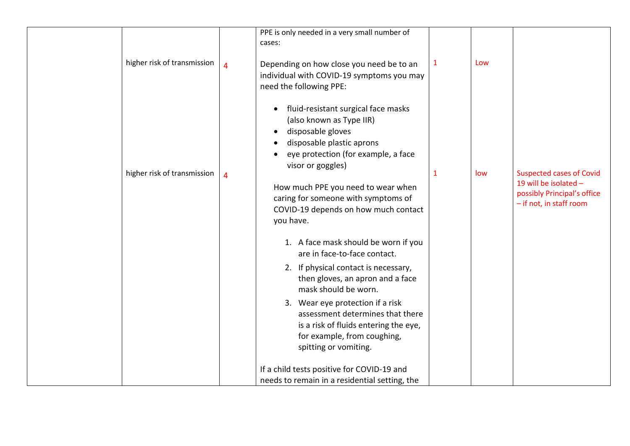| higher risk of transmission | 4 | PPE is only needed in a very small number of<br>cases:<br>Depending on how close you need be to an<br>individual with COVID-19 symptoms you may<br>need the following PPE:                                                                                                                                      | $\mathbf{1}$ | Low |                                                                                                                    |
|-----------------------------|---|-----------------------------------------------------------------------------------------------------------------------------------------------------------------------------------------------------------------------------------------------------------------------------------------------------------------|--------------|-----|--------------------------------------------------------------------------------------------------------------------|
| higher risk of transmission | 4 | fluid-resistant surgical face masks<br>(also known as Type IIR)<br>disposable gloves<br>disposable plastic aprons<br>eye protection (for example, a face<br>visor or goggles)<br>How much PPE you need to wear when<br>caring for someone with symptoms of<br>COVID-19 depends on how much contact<br>you have. | $\mathbf 1$  | low | <b>Suspected cases of Covid</b><br>19 will be isolated -<br>possibly Principal's office<br>- if not, in staff room |
|                             |   | 1. A face mask should be worn if you<br>are in face-to-face contact.<br>2. If physical contact is necessary,<br>then gloves, an apron and a face<br>mask should be worn.<br>3. Wear eye protection if a risk                                                                                                    |              |     |                                                                                                                    |
|                             |   | assessment determines that there<br>is a risk of fluids entering the eye,<br>for example, from coughing,<br>spitting or vomiting.<br>If a child tests positive for COVID-19 and<br>needs to remain in a residential setting, the                                                                                |              |     |                                                                                                                    |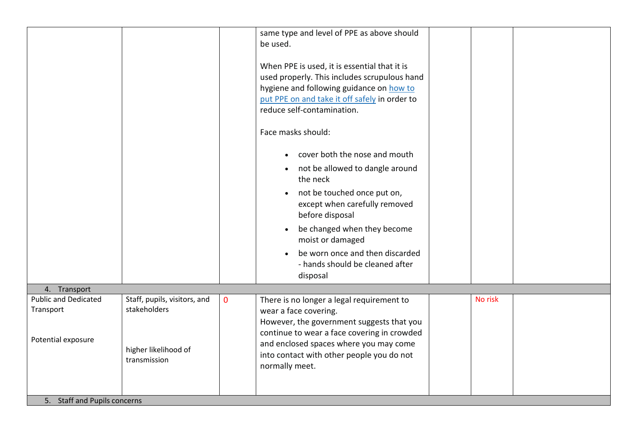|                                          |                                              |              | same type and level of PPE as above should                                                                                                                                                                                                    |         |  |
|------------------------------------------|----------------------------------------------|--------------|-----------------------------------------------------------------------------------------------------------------------------------------------------------------------------------------------------------------------------------------------|---------|--|
|                                          |                                              |              | be used.                                                                                                                                                                                                                                      |         |  |
|                                          |                                              |              | When PPE is used, it is essential that it is<br>used properly. This includes scrupulous hand<br>hygiene and following guidance on how to<br>put PPE on and take it off safely in order to<br>reduce self-contamination.<br>Face masks should: |         |  |
|                                          |                                              |              |                                                                                                                                                                                                                                               |         |  |
|                                          |                                              |              | cover both the nose and mouth                                                                                                                                                                                                                 |         |  |
|                                          |                                              |              | • not be allowed to dangle around<br>the neck                                                                                                                                                                                                 |         |  |
|                                          |                                              |              | not be touched once put on,<br>except when carefully removed<br>before disposal                                                                                                                                                               |         |  |
|                                          |                                              |              | be changed when they become<br>moist or damaged                                                                                                                                                                                               |         |  |
|                                          |                                              |              | be worn once and then discarded                                                                                                                                                                                                               |         |  |
|                                          |                                              |              | - hands should be cleaned after                                                                                                                                                                                                               |         |  |
|                                          |                                              |              | disposal                                                                                                                                                                                                                                      |         |  |
| 4. Transport                             |                                              |              |                                                                                                                                                                                                                                               |         |  |
| <b>Public and Dedicated</b><br>Transport | Staff, pupils, visitors, and<br>stakeholders | $\mathbf{0}$ | There is no longer a legal requirement to                                                                                                                                                                                                     | No risk |  |
|                                          |                                              |              | wear a face covering.<br>However, the government suggests that you                                                                                                                                                                            |         |  |
|                                          |                                              |              | continue to wear a face covering in crowded                                                                                                                                                                                                   |         |  |
| Potential exposure                       |                                              |              | and enclosed spaces where you may come                                                                                                                                                                                                        |         |  |
|                                          | higher likelihood of<br>transmission         |              | into contact with other people you do not                                                                                                                                                                                                     |         |  |
|                                          |                                              |              | normally meet.                                                                                                                                                                                                                                |         |  |
|                                          |                                              |              |                                                                                                                                                                                                                                               |         |  |
|                                          |                                              |              |                                                                                                                                                                                                                                               |         |  |
| 5. Staff and Pupils concerns             |                                              |              |                                                                                                                                                                                                                                               |         |  |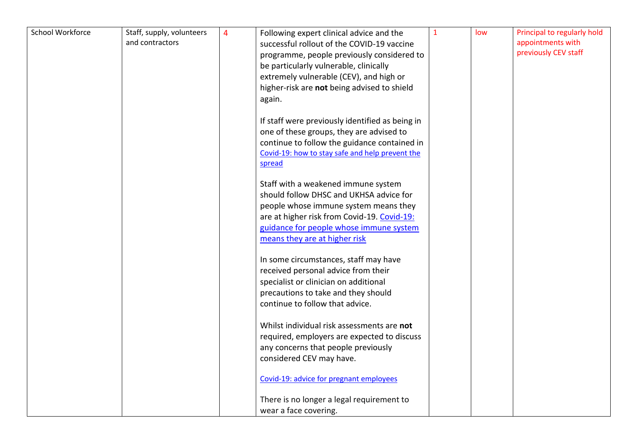| School Workforce | Staff, supply, volunteers<br>and contractors | 4 | Following expert clinical advice and the<br>successful rollout of the COVID-19 vaccine | $\mathbf{1}$ | low | Principal to regularly hold<br>appointments with |
|------------------|----------------------------------------------|---|----------------------------------------------------------------------------------------|--------------|-----|--------------------------------------------------|
|                  |                                              |   | programme, people previously considered to                                             |              |     | previously CEV staff                             |
|                  |                                              |   | be particularly vulnerable, clinically                                                 |              |     |                                                  |
|                  |                                              |   | extremely vulnerable (CEV), and high or                                                |              |     |                                                  |
|                  |                                              |   | higher-risk are not being advised to shield                                            |              |     |                                                  |
|                  |                                              |   | again.                                                                                 |              |     |                                                  |
|                  |                                              |   | If staff were previously identified as being in                                        |              |     |                                                  |
|                  |                                              |   | one of these groups, they are advised to                                               |              |     |                                                  |
|                  |                                              |   | continue to follow the guidance contained in                                           |              |     |                                                  |
|                  |                                              |   | Covid-19: how to stay safe and help prevent the                                        |              |     |                                                  |
|                  |                                              |   | spread                                                                                 |              |     |                                                  |
|                  |                                              |   | Staff with a weakened immune system                                                    |              |     |                                                  |
|                  |                                              |   | should follow DHSC and UKHSA advice for                                                |              |     |                                                  |
|                  |                                              |   | people whose immune system means they                                                  |              |     |                                                  |
|                  |                                              |   | are at higher risk from Covid-19. Covid-19:                                            |              |     |                                                  |
|                  |                                              |   | guidance for people whose immune system                                                |              |     |                                                  |
|                  |                                              |   | means they are at higher risk                                                          |              |     |                                                  |
|                  |                                              |   | In some circumstances, staff may have                                                  |              |     |                                                  |
|                  |                                              |   | received personal advice from their                                                    |              |     |                                                  |
|                  |                                              |   | specialist or clinician on additional                                                  |              |     |                                                  |
|                  |                                              |   | precautions to take and they should                                                    |              |     |                                                  |
|                  |                                              |   | continue to follow that advice.                                                        |              |     |                                                  |
|                  |                                              |   | Whilst individual risk assessments are not                                             |              |     |                                                  |
|                  |                                              |   | required, employers are expected to discuss                                            |              |     |                                                  |
|                  |                                              |   | any concerns that people previously                                                    |              |     |                                                  |
|                  |                                              |   | considered CEV may have.                                                               |              |     |                                                  |
|                  |                                              |   | Covid-19: advice for pregnant employees                                                |              |     |                                                  |
|                  |                                              |   | There is no longer a legal requirement to                                              |              |     |                                                  |
|                  |                                              |   | wear a face covering.                                                                  |              |     |                                                  |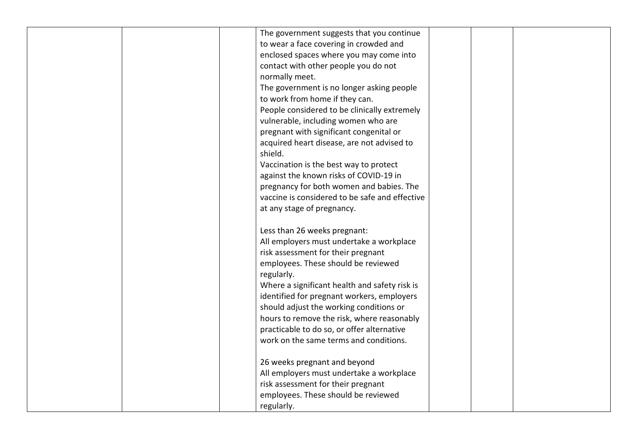|  | The government suggests that you continue                                            |  |  |
|--|--------------------------------------------------------------------------------------|--|--|
|  |                                                                                      |  |  |
|  | to wear a face covering in crowded and                                               |  |  |
|  | enclosed spaces where you may come into                                              |  |  |
|  | contact with other people you do not                                                 |  |  |
|  | normally meet.                                                                       |  |  |
|  | The government is no longer asking people                                            |  |  |
|  | to work from home if they can.                                                       |  |  |
|  | People considered to be clinically extremely                                         |  |  |
|  | vulnerable, including women who are                                                  |  |  |
|  | pregnant with significant congenital or                                              |  |  |
|  | acquired heart disease, are not advised to                                           |  |  |
|  | shield.                                                                              |  |  |
|  | Vaccination is the best way to protect                                               |  |  |
|  | against the known risks of COVID-19 in                                               |  |  |
|  | pregnancy for both women and babies. The                                             |  |  |
|  | vaccine is considered to be safe and effective                                       |  |  |
|  | at any stage of pregnancy.                                                           |  |  |
|  |                                                                                      |  |  |
|  | Less than 26 weeks pregnant:                                                         |  |  |
|  | All employers must undertake a workplace                                             |  |  |
|  | risk assessment for their pregnant                                                   |  |  |
|  | employees. These should be reviewed                                                  |  |  |
|  | regularly.                                                                           |  |  |
|  | Where a significant health and safety risk is                                        |  |  |
|  | identified for pregnant workers, employers                                           |  |  |
|  | should adjust the working conditions or                                              |  |  |
|  | hours to remove the risk, where reasonably                                           |  |  |
|  |                                                                                      |  |  |
|  | practicable to do so, or offer alternative<br>work on the same terms and conditions. |  |  |
|  |                                                                                      |  |  |
|  | 26 weeks pregnant and beyond                                                         |  |  |
|  | All employers must undertake a workplace                                             |  |  |
|  | risk assessment for their pregnant                                                   |  |  |
|  | employees. These should be reviewed                                                  |  |  |
|  |                                                                                      |  |  |
|  | regularly.                                                                           |  |  |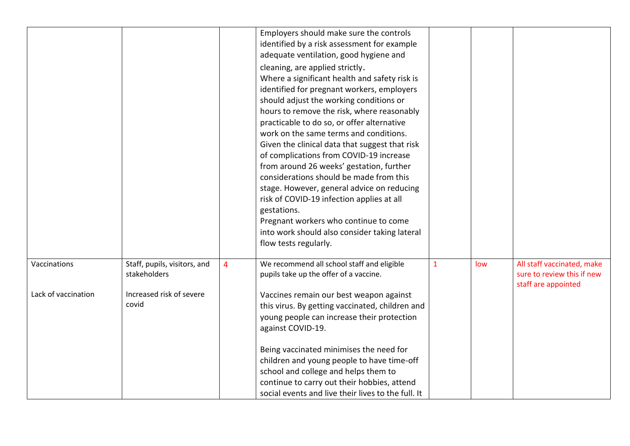|                     |                                              |   | Employers should make sure the controls<br>identified by a risk assessment for example<br>adequate ventilation, good hygiene and                                                                                                                                                                                                                                                                                                                                                                                                                                                                                                                                                                                                 |              |     |                                                                                 |
|---------------------|----------------------------------------------|---|----------------------------------------------------------------------------------------------------------------------------------------------------------------------------------------------------------------------------------------------------------------------------------------------------------------------------------------------------------------------------------------------------------------------------------------------------------------------------------------------------------------------------------------------------------------------------------------------------------------------------------------------------------------------------------------------------------------------------------|--------------|-----|---------------------------------------------------------------------------------|
|                     |                                              |   | cleaning, are applied strictly.<br>Where a significant health and safety risk is<br>identified for pregnant workers, employers<br>should adjust the working conditions or<br>hours to remove the risk, where reasonably<br>practicable to do so, or offer alternative<br>work on the same terms and conditions.<br>Given the clinical data that suggest that risk<br>of complications from COVID-19 increase<br>from around 26 weeks' gestation, further<br>considerations should be made from this<br>stage. However, general advice on reducing<br>risk of COVID-19 infection applies at all<br>gestations.<br>Pregnant workers who continue to come<br>into work should also consider taking lateral<br>flow tests regularly. |              |     |                                                                                 |
| Vaccinations        | Staff, pupils, visitors, and<br>stakeholders | 4 | We recommend all school staff and eligible<br>pupils take up the offer of a vaccine.                                                                                                                                                                                                                                                                                                                                                                                                                                                                                                                                                                                                                                             | $\mathbf{1}$ | low | All staff vaccinated, make<br>sure to review this if new<br>staff are appointed |
| Lack of vaccination | Increased risk of severe<br>covid            |   | Vaccines remain our best weapon against<br>this virus. By getting vaccinated, children and<br>young people can increase their protection<br>against COVID-19.                                                                                                                                                                                                                                                                                                                                                                                                                                                                                                                                                                    |              |     |                                                                                 |
|                     |                                              |   | Being vaccinated minimises the need for<br>children and young people to have time-off<br>school and college and helps them to<br>continue to carry out their hobbies, attend<br>social events and live their lives to the full. It                                                                                                                                                                                                                                                                                                                                                                                                                                                                                               |              |     |                                                                                 |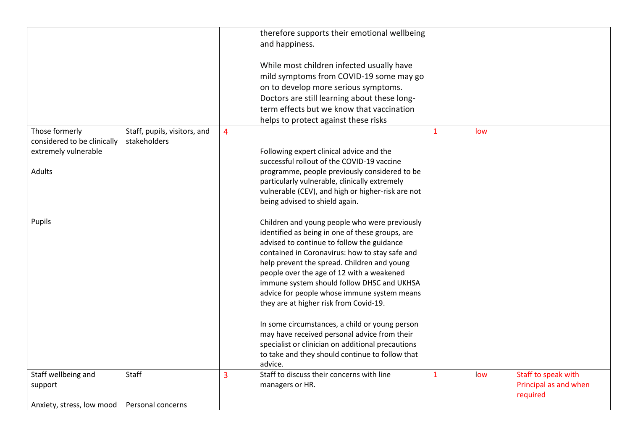|                                                     |                                              |                | therefore supports their emotional wellbeing<br>and happiness.                                       |              |     |                                   |
|-----------------------------------------------------|----------------------------------------------|----------------|------------------------------------------------------------------------------------------------------|--------------|-----|-----------------------------------|
|                                                     |                                              |                |                                                                                                      |              |     |                                   |
|                                                     |                                              |                | While most children infected usually have                                                            |              |     |                                   |
|                                                     |                                              |                | mild symptoms from COVID-19 some may go                                                              |              |     |                                   |
|                                                     |                                              |                | on to develop more serious symptoms.                                                                 |              |     |                                   |
|                                                     |                                              |                | Doctors are still learning about these long-                                                         |              |     |                                   |
|                                                     |                                              |                | term effects but we know that vaccination                                                            |              |     |                                   |
| Those formerly                                      | Staff, pupils, visitors, and<br>stakeholders | $\overline{4}$ | helps to protect against these risks                                                                 | $\mathbf{1}$ | low |                                   |
| considered to be clinically<br>extremely vulnerable |                                              |                | Following expert clinical advice and the                                                             |              |     |                                   |
|                                                     |                                              |                | successful rollout of the COVID-19 vaccine                                                           |              |     |                                   |
| Adults                                              |                                              |                | programme, people previously considered to be                                                        |              |     |                                   |
|                                                     |                                              |                | particularly vulnerable, clinically extremely                                                        |              |     |                                   |
|                                                     |                                              |                | vulnerable (CEV), and high or higher-risk are not                                                    |              |     |                                   |
|                                                     |                                              |                | being advised to shield again.                                                                       |              |     |                                   |
| Pupils                                              |                                              |                | Children and young people who were previously                                                        |              |     |                                   |
|                                                     |                                              |                | identified as being in one of these groups, are                                                      |              |     |                                   |
|                                                     |                                              |                | advised to continue to follow the guidance                                                           |              |     |                                   |
|                                                     |                                              |                | contained in Coronavirus: how to stay safe and                                                       |              |     |                                   |
|                                                     |                                              |                | help prevent the spread. Children and young                                                          |              |     |                                   |
|                                                     |                                              |                | people over the age of 12 with a weakened<br>immune system should follow DHSC and UKHSA              |              |     |                                   |
|                                                     |                                              |                | advice for people whose immune system means                                                          |              |     |                                   |
|                                                     |                                              |                | they are at higher risk from Covid-19.                                                               |              |     |                                   |
|                                                     |                                              |                |                                                                                                      |              |     |                                   |
|                                                     |                                              |                | In some circumstances, a child or young person                                                       |              |     |                                   |
|                                                     |                                              |                | may have received personal advice from their                                                         |              |     |                                   |
|                                                     |                                              |                | specialist or clinician on additional precautions<br>to take and they should continue to follow that |              |     |                                   |
|                                                     |                                              |                | advice.                                                                                              |              |     |                                   |
| Staff wellbeing and                                 | Staff                                        | $\overline{3}$ | Staff to discuss their concerns with line                                                            | 1            | low | Staff to speak with               |
| support                                             |                                              |                | managers or HR.                                                                                      |              |     | Principal as and when<br>required |
| Anxiety, stress, low mood                           | Personal concerns                            |                |                                                                                                      |              |     |                                   |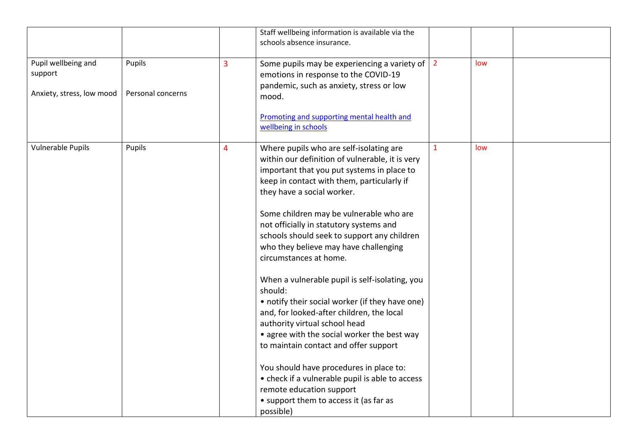|                                                             |                             |   | Staff wellbeing information is available via the<br>schools absence insurance.                                                                                                                                                                                                                                                                                                                                                                                                                                                                                                                                                                                                                                                                                                                                                                                                                      |                |     |  |
|-------------------------------------------------------------|-----------------------------|---|-----------------------------------------------------------------------------------------------------------------------------------------------------------------------------------------------------------------------------------------------------------------------------------------------------------------------------------------------------------------------------------------------------------------------------------------------------------------------------------------------------------------------------------------------------------------------------------------------------------------------------------------------------------------------------------------------------------------------------------------------------------------------------------------------------------------------------------------------------------------------------------------------------|----------------|-----|--|
| Pupil wellbeing and<br>support<br>Anxiety, stress, low mood | Pupils<br>Personal concerns | 3 | Some pupils may be experiencing a variety of<br>emotions in response to the COVID-19<br>pandemic, such as anxiety, stress or low<br>mood.<br>Promoting and supporting mental health and<br>wellbeing in schools                                                                                                                                                                                                                                                                                                                                                                                                                                                                                                                                                                                                                                                                                     | $\overline{2}$ | low |  |
| Vulnerable Pupils                                           | Pupils                      | 4 | Where pupils who are self-isolating are<br>within our definition of vulnerable, it is very<br>important that you put systems in place to<br>keep in contact with them, particularly if<br>they have a social worker.<br>Some children may be vulnerable who are<br>not officially in statutory systems and<br>schools should seek to support any children<br>who they believe may have challenging<br>circumstances at home.<br>When a vulnerable pupil is self-isolating, you<br>should:<br>• notify their social worker (if they have one)<br>and, for looked-after children, the local<br>authority virtual school head<br>• agree with the social worker the best way<br>to maintain contact and offer support<br>You should have procedures in place to:<br>• check if a vulnerable pupil is able to access<br>remote education support<br>• support them to access it (as far as<br>possible) | $\mathbf{1}$   | low |  |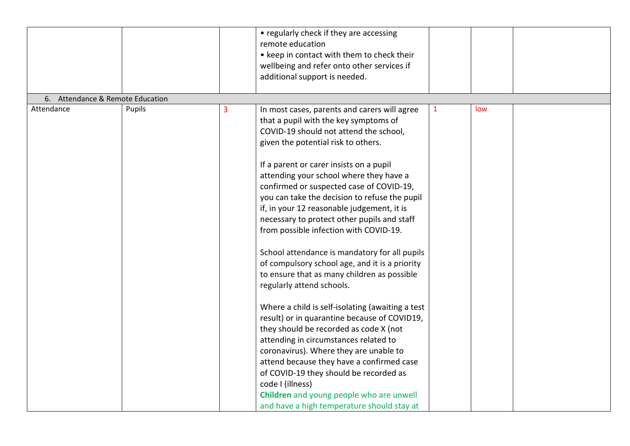|                                  |        |   | • regularly check if they are accessing<br>remote education<br>• keep in contact with them to check their<br>wellbeing and refer onto other services if<br>additional support is needed.                                                                                                                                                                                                                                                                                                                                                                                                                                                                                                                                                                                                                                      |              |     |  |
|----------------------------------|--------|---|-------------------------------------------------------------------------------------------------------------------------------------------------------------------------------------------------------------------------------------------------------------------------------------------------------------------------------------------------------------------------------------------------------------------------------------------------------------------------------------------------------------------------------------------------------------------------------------------------------------------------------------------------------------------------------------------------------------------------------------------------------------------------------------------------------------------------------|--------------|-----|--|
|                                  |        |   |                                                                                                                                                                                                                                                                                                                                                                                                                                                                                                                                                                                                                                                                                                                                                                                                                               |              |     |  |
| 6. Attendance & Remote Education |        |   |                                                                                                                                                                                                                                                                                                                                                                                                                                                                                                                                                                                                                                                                                                                                                                                                                               |              |     |  |
| Attendance                       | Pupils | 3 | In most cases, parents and carers will agree<br>that a pupil with the key symptoms of<br>COVID-19 should not attend the school,<br>given the potential risk to others.<br>If a parent or carer insists on a pupil<br>attending your school where they have a<br>confirmed or suspected case of COVID-19,<br>you can take the decision to refuse the pupil<br>if, in your 12 reasonable judgement, it is<br>necessary to protect other pupils and staff<br>from possible infection with COVID-19.<br>School attendance is mandatory for all pupils<br>of compulsory school age, and it is a priority<br>to ensure that as many children as possible<br>regularly attend schools.<br>Where a child is self-isolating (awaiting a test<br>result) or in quarantine because of COVID19,<br>they should be recorded as code X (not | $\mathbf{1}$ | low |  |
|                                  |        |   | attending in circumstances related to                                                                                                                                                                                                                                                                                                                                                                                                                                                                                                                                                                                                                                                                                                                                                                                         |              |     |  |
|                                  |        |   | coronavirus). Where they are unable to<br>attend because they have a confirmed case                                                                                                                                                                                                                                                                                                                                                                                                                                                                                                                                                                                                                                                                                                                                           |              |     |  |
|                                  |        |   | of COVID-19 they should be recorded as                                                                                                                                                                                                                                                                                                                                                                                                                                                                                                                                                                                                                                                                                                                                                                                        |              |     |  |
|                                  |        |   | code I (illness)                                                                                                                                                                                                                                                                                                                                                                                                                                                                                                                                                                                                                                                                                                                                                                                                              |              |     |  |
|                                  |        |   | Children and young people who are unwell                                                                                                                                                                                                                                                                                                                                                                                                                                                                                                                                                                                                                                                                                                                                                                                      |              |     |  |
|                                  |        |   | and have a high temperature should stay at                                                                                                                                                                                                                                                                                                                                                                                                                                                                                                                                                                                                                                                                                                                                                                                    |              |     |  |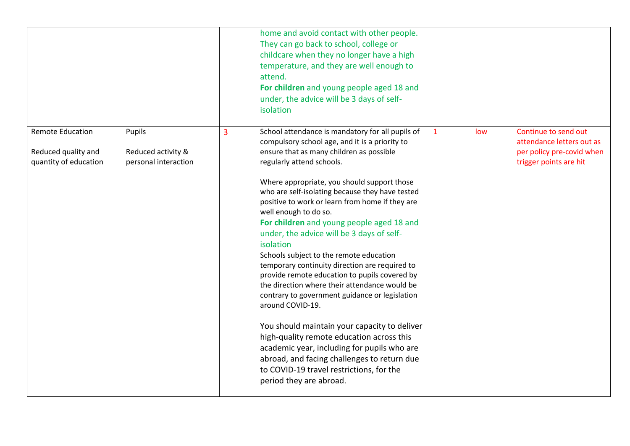|                                                                         |                                                      |   | home and avoid contact with other people.<br>They can go back to school, college or<br>childcare when they no longer have a high<br>temperature, and they are well enough to<br>attend.<br>For children and young people aged 18 and<br>under, the advice will be 3 days of self-<br>isolation                                                                                                                                                                                                                                                                                                                                                                                                                                                                                                                                                                                                                                                                                                          |              |     |                                                                                                          |
|-------------------------------------------------------------------------|------------------------------------------------------|---|---------------------------------------------------------------------------------------------------------------------------------------------------------------------------------------------------------------------------------------------------------------------------------------------------------------------------------------------------------------------------------------------------------------------------------------------------------------------------------------------------------------------------------------------------------------------------------------------------------------------------------------------------------------------------------------------------------------------------------------------------------------------------------------------------------------------------------------------------------------------------------------------------------------------------------------------------------------------------------------------------------|--------------|-----|----------------------------------------------------------------------------------------------------------|
| <b>Remote Education</b><br>Reduced quality and<br>quantity of education | Pupils<br>Reduced activity &<br>personal interaction | 3 | School attendance is mandatory for all pupils of<br>compulsory school age, and it is a priority to<br>ensure that as many children as possible<br>regularly attend schools.<br>Where appropriate, you should support those<br>who are self-isolating because they have tested<br>positive to work or learn from home if they are<br>well enough to do so.<br>For children and young people aged 18 and<br>under, the advice will be 3 days of self-<br>isolation<br>Schools subject to the remote education<br>temporary continuity direction are required to<br>provide remote education to pupils covered by<br>the direction where their attendance would be<br>contrary to government guidance or legislation<br>around COVID-19.<br>You should maintain your capacity to deliver<br>high-quality remote education across this<br>academic year, including for pupils who are<br>abroad, and facing challenges to return due<br>to COVID-19 travel restrictions, for the<br>period they are abroad. | $\mathbf{1}$ | low | Continue to send out<br>attendance letters out as<br>per policy pre-covid when<br>trigger points are hit |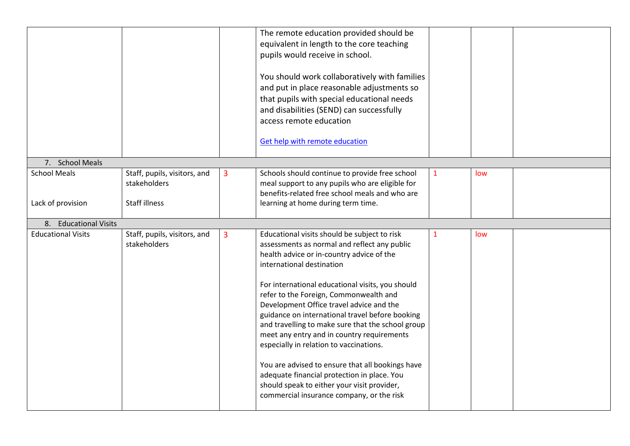|                           |                              |   | The remote education provided should be           |              |     |  |
|---------------------------|------------------------------|---|---------------------------------------------------|--------------|-----|--|
|                           |                              |   | equivalent in length to the core teaching         |              |     |  |
|                           |                              |   | pupils would receive in school.                   |              |     |  |
|                           |                              |   |                                                   |              |     |  |
|                           |                              |   | You should work collaboratively with families     |              |     |  |
|                           |                              |   | and put in place reasonable adjustments so        |              |     |  |
|                           |                              |   | that pupils with special educational needs        |              |     |  |
|                           |                              |   | and disabilities (SEND) can successfully          |              |     |  |
|                           |                              |   | access remote education                           |              |     |  |
|                           |                              |   |                                                   |              |     |  |
|                           |                              |   | <b>Get help with remote education</b>             |              |     |  |
|                           |                              |   |                                                   |              |     |  |
| 7. School Meals           |                              |   |                                                   |              |     |  |
| <b>School Meals</b>       | Staff, pupils, visitors, and | 3 | Schools should continue to provide free school    | 1            | low |  |
|                           | stakeholders                 |   | meal support to any pupils who are eligible for   |              |     |  |
|                           |                              |   | benefits-related free school meals and who are    |              |     |  |
| Lack of provision         | <b>Staff illness</b>         |   | learning at home during term time.                |              |     |  |
|                           |                              |   |                                                   |              |     |  |
|                           |                              |   |                                                   |              |     |  |
| 8. Educational Visits     |                              |   |                                                   |              |     |  |
| <b>Educational Visits</b> | Staff, pupils, visitors, and | 3 | Educational visits should be subject to risk      | $\mathbf{1}$ | low |  |
|                           | stakeholders                 |   | assessments as normal and reflect any public      |              |     |  |
|                           |                              |   | health advice or in-country advice of the         |              |     |  |
|                           |                              |   | international destination                         |              |     |  |
|                           |                              |   |                                                   |              |     |  |
|                           |                              |   | For international educational visits, you should  |              |     |  |
|                           |                              |   | refer to the Foreign, Commonwealth and            |              |     |  |
|                           |                              |   | Development Office travel advice and the          |              |     |  |
|                           |                              |   | guidance on international travel before booking   |              |     |  |
|                           |                              |   | and travelling to make sure that the school group |              |     |  |
|                           |                              |   | meet any entry and in country requirements        |              |     |  |
|                           |                              |   | especially in relation to vaccinations.           |              |     |  |
|                           |                              |   |                                                   |              |     |  |
|                           |                              |   | You are advised to ensure that all bookings have  |              |     |  |
|                           |                              |   | adequate financial protection in place. You       |              |     |  |
|                           |                              |   | should speak to either your visit provider,       |              |     |  |
|                           |                              |   | commercial insurance company, or the risk         |              |     |  |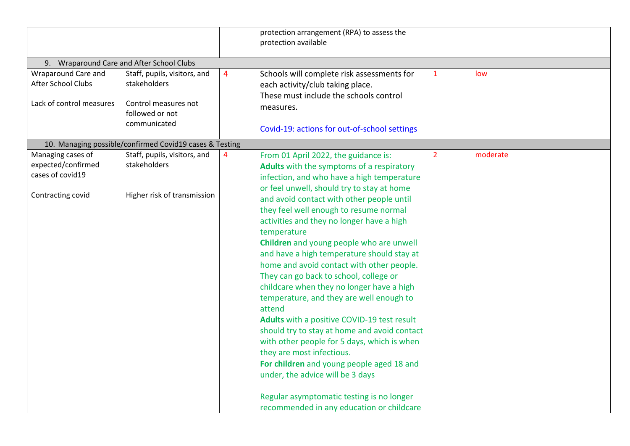|                                                                                  |                                                                                                         |   | protection arrangement (RPA) to assess the<br>protection available                                                                                                                                                                                                                                                                                                                                                                                                                                                                                                                                                                                                                                                                                                                                                                                                                                                                                                         |                |          |  |
|----------------------------------------------------------------------------------|---------------------------------------------------------------------------------------------------------|---|----------------------------------------------------------------------------------------------------------------------------------------------------------------------------------------------------------------------------------------------------------------------------------------------------------------------------------------------------------------------------------------------------------------------------------------------------------------------------------------------------------------------------------------------------------------------------------------------------------------------------------------------------------------------------------------------------------------------------------------------------------------------------------------------------------------------------------------------------------------------------------------------------------------------------------------------------------------------------|----------------|----------|--|
| 9. Wraparound Care and After School Clubs                                        |                                                                                                         |   |                                                                                                                                                                                                                                                                                                                                                                                                                                                                                                                                                                                                                                                                                                                                                                                                                                                                                                                                                                            |                |          |  |
| Wraparound Care and<br>After School Clubs<br>Lack of control measures            | Staff, pupils, visitors, and<br>stakeholders<br>Control measures not<br>followed or not<br>communicated | 4 | Schools will complete risk assessments for<br>each activity/club taking place.<br>These must include the schools control<br>measures.<br>Covid-19: actions for out-of-school settings                                                                                                                                                                                                                                                                                                                                                                                                                                                                                                                                                                                                                                                                                                                                                                                      | 1              | low      |  |
|                                                                                  | 10. Managing possible/confirmed Covid19 cases & Testing                                                 |   |                                                                                                                                                                                                                                                                                                                                                                                                                                                                                                                                                                                                                                                                                                                                                                                                                                                                                                                                                                            |                |          |  |
| Managing cases of<br>expected/confirmed<br>cases of covid19<br>Contracting covid | Staff, pupils, visitors, and<br>stakeholders<br>Higher risk of transmission                             | 4 | From 01 April 2022, the guidance is:<br>Adults with the symptoms of a respiratory<br>infection, and who have a high temperature<br>or feel unwell, should try to stay at home<br>and avoid contact with other people until<br>they feel well enough to resume normal<br>activities and they no longer have a high<br>temperature<br>Children and young people who are unwell<br>and have a high temperature should stay at<br>home and avoid contact with other people.<br>They can go back to school, college or<br>childcare when they no longer have a high<br>temperature, and they are well enough to<br>attend<br>Adults with a positive COVID-19 test result<br>should try to stay at home and avoid contact<br>with other people for 5 days, which is when<br>they are most infectious.<br>For children and young people aged 18 and<br>under, the advice will be 3 days<br>Regular asymptomatic testing is no longer<br>recommended in any education or childcare | $\overline{2}$ | moderate |  |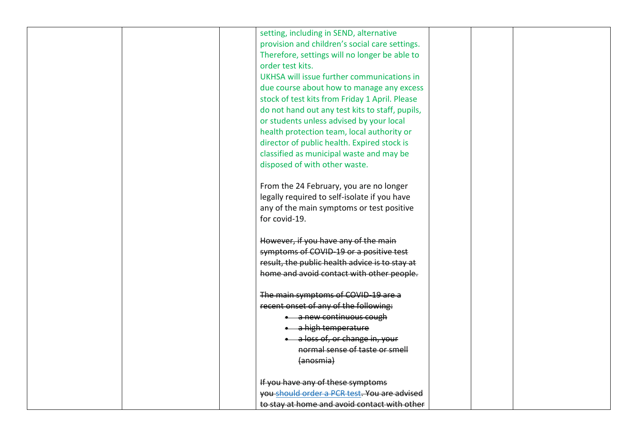|  | setting, including in SEND, alternative         |  |
|--|-------------------------------------------------|--|
|  | provision and children's social care settings.  |  |
|  | Therefore, settings will no longer be able to   |  |
|  | order test kits.                                |  |
|  | UKHSA will issue further communications in      |  |
|  | due course about how to manage any excess       |  |
|  | stock of test kits from Friday 1 April. Please  |  |
|  | do not hand out any test kits to staff, pupils, |  |
|  | or students unless advised by your local        |  |
|  | health protection team, local authority or      |  |
|  | director of public health. Expired stock is     |  |
|  | classified as municipal waste and may be        |  |
|  | disposed of with other waste.                   |  |
|  |                                                 |  |
|  | From the 24 February, you are no longer         |  |
|  | legally required to self-isolate if you have    |  |
|  | any of the main symptoms or test positive       |  |
|  | for covid-19.                                   |  |
|  |                                                 |  |
|  | However, if you have any of the main            |  |
|  | symptoms of COVID-19 or a positive test         |  |
|  | result, the public health advice is to stay at  |  |
|  | home and avoid contact with other people.       |  |
|  |                                                 |  |
|  | The main symptoms of COVID-19 are a             |  |
|  | recent onset of any of the following:           |  |
|  | <b>.</b> a new continuous cough                 |  |
|  | · a high temperature                            |  |
|  | • a loss of, or change in, your                 |  |
|  | normal sense of taste or smell                  |  |
|  | (anosmia)                                       |  |
|  |                                                 |  |
|  | If you have any of these symptoms               |  |
|  | you should order a PCR test. You are advised    |  |
|  | to stay at home and avoid contact with other    |  |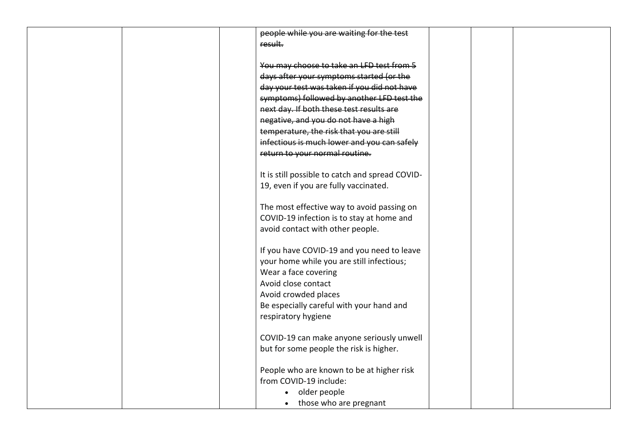| people while you are waiting for the test       |
|-------------------------------------------------|
| result.                                         |
|                                                 |
| You may choose to take an LFD test from 5       |
| days after your symptoms started (or the        |
| day your test was taken if you did not have     |
| symptoms) followed by another LFD test the      |
| next day. If both these test results are        |
| negative, and you do not have a high            |
| temperature, the risk that you are still        |
| infectious is much lower and you can safely     |
| return to your normal routine.                  |
|                                                 |
| It is still possible to catch and spread COVID- |
| 19, even if you are fully vaccinated.           |
|                                                 |
| The most effective way to avoid passing on      |
| COVID-19 infection is to stay at home and       |
| avoid contact with other people.                |
|                                                 |
| If you have COVID-19 and you need to leave      |
|                                                 |
| your home while you are still infectious;       |
| Wear a face covering                            |
| Avoid close contact                             |
| Avoid crowded places                            |
| Be especially careful with your hand and        |
| respiratory hygiene                             |
|                                                 |
| COVID-19 can make anyone seriously unwell       |
| but for some people the risk is higher.         |
|                                                 |
| People who are known to be at higher risk       |
| from COVID-19 include:                          |
| older people<br>$\bullet$                       |
| those who are pregnant<br>$\bullet$             |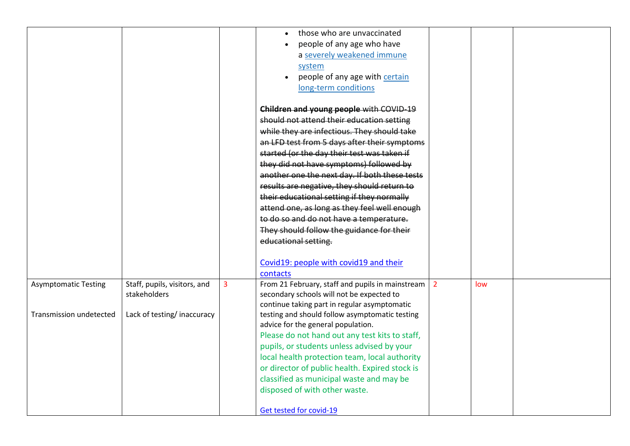|                             |                              |                | those who are unvaccinated                       |                |     |  |
|-----------------------------|------------------------------|----------------|--------------------------------------------------|----------------|-----|--|
|                             |                              |                | people of any age who have                       |                |     |  |
|                             |                              |                | a severely weakened immune                       |                |     |  |
|                             |                              |                | system                                           |                |     |  |
|                             |                              |                | people of any age with certain                   |                |     |  |
|                             |                              |                | long-term conditions                             |                |     |  |
|                             |                              |                |                                                  |                |     |  |
|                             |                              |                | Children and young people with COVID 19          |                |     |  |
|                             |                              |                | should not attend their education setting        |                |     |  |
|                             |                              |                | while they are infectious. They should take      |                |     |  |
|                             |                              |                | an LFD test from 5 days after their symptoms     |                |     |  |
|                             |                              |                | started (or the day their test was taken if      |                |     |  |
|                             |                              |                | they did not have symptoms) followed by          |                |     |  |
|                             |                              |                | another one the next day. If both these tests    |                |     |  |
|                             |                              |                | results are negative, they should return to      |                |     |  |
|                             |                              |                | their educational setting if they normally       |                |     |  |
|                             |                              |                | attend one, as long as they feel well enough     |                |     |  |
|                             |                              |                | to do so and do not have a temperature.          |                |     |  |
|                             |                              |                | They should follow the guidance for their        |                |     |  |
|                             |                              |                | educational setting.                             |                |     |  |
|                             |                              |                |                                                  |                |     |  |
|                             |                              |                | Covid19: people with covid19 and their           |                |     |  |
|                             |                              |                | contacts                                         |                |     |  |
| <b>Asymptomatic Testing</b> | Staff, pupils, visitors, and | $\overline{3}$ | From 21 February, staff and pupils in mainstream | $\overline{2}$ | low |  |
|                             | stakeholders                 |                | secondary schools will not be expected to        |                |     |  |
|                             |                              |                | continue taking part in regular asymptomatic     |                |     |  |
| Transmission undetected     | Lack of testing/inaccuracy   |                | testing and should follow asymptomatic testing   |                |     |  |
|                             |                              |                | advice for the general population.               |                |     |  |
|                             |                              |                | Please do not hand out any test kits to staff,   |                |     |  |
|                             |                              |                | pupils, or students unless advised by your       |                |     |  |
|                             |                              |                | local health protection team, local authority    |                |     |  |
|                             |                              |                | or director of public health. Expired stock is   |                |     |  |
|                             |                              |                | classified as municipal waste and may be         |                |     |  |
|                             |                              |                | disposed of with other waste.                    |                |     |  |
|                             |                              |                |                                                  |                |     |  |
|                             |                              |                | Get tested for covid-19                          |                |     |  |
|                             |                              |                |                                                  |                |     |  |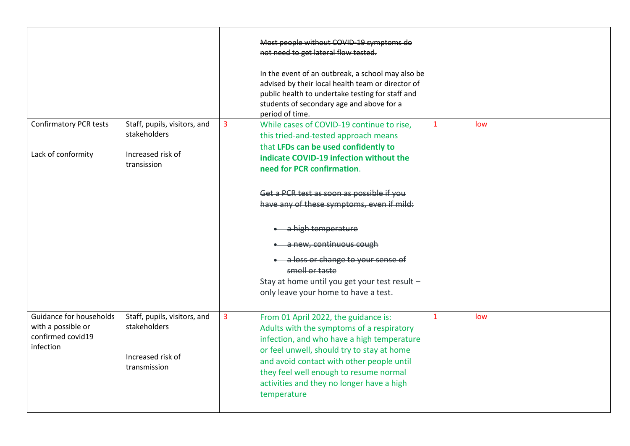|                                                                                 |                                                                                   |                | Most people without COVID-19 symptoms do<br>not need to get lateral flow tested.<br>In the event of an outbreak, a school may also be<br>advised by their local health team or director of<br>public health to undertake testing for staff and<br>students of secondary age and above for a<br>period of time.                   |              |     |  |
|---------------------------------------------------------------------------------|-----------------------------------------------------------------------------------|----------------|----------------------------------------------------------------------------------------------------------------------------------------------------------------------------------------------------------------------------------------------------------------------------------------------------------------------------------|--------------|-----|--|
| <b>Confirmatory PCR tests</b><br>Lack of conformity                             | Staff, pupils, visitors, and<br>stakeholders<br>Increased risk of<br>transission  | $\overline{3}$ | While cases of COVID-19 continue to rise,<br>this tried-and-tested approach means<br>that LFDs can be used confidently to<br>indicate COVID-19 infection without the<br>need for PCR confirmation.                                                                                                                               | $\mathbf{1}$ | low |  |
|                                                                                 |                                                                                   |                | Get a PCR test as soon as possible if you<br>have any of these symptoms, even if mild:                                                                                                                                                                                                                                           |              |     |  |
|                                                                                 |                                                                                   |                | a high temperature<br>a new, continuous cough<br>a loss or change to your sense of<br>smell or taste<br>Stay at home until you get your test result -<br>only leave your home to have a test.                                                                                                                                    |              |     |  |
| Guidance for households<br>with a possible or<br>confirmed covid19<br>infection | Staff, pupils, visitors, and<br>stakeholders<br>Increased risk of<br>transmission | $\overline{3}$ | From 01 April 2022, the guidance is:<br>Adults with the symptoms of a respiratory<br>infection, and who have a high temperature<br>or feel unwell, should try to stay at home<br>and avoid contact with other people until<br>they feel well enough to resume normal<br>activities and they no longer have a high<br>temperature | $\mathbf{1}$ | low |  |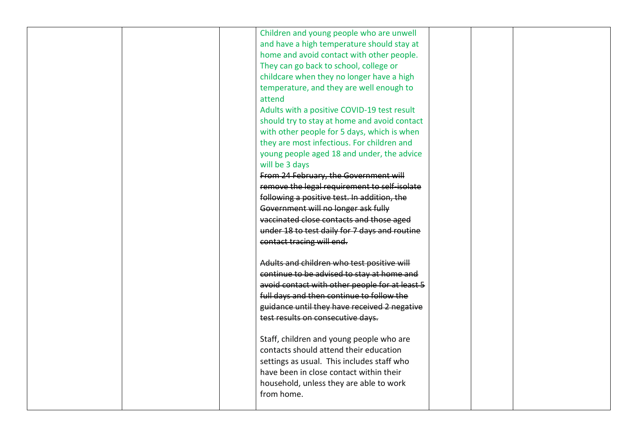| Children and young people who are unwell<br>and have a high temperature should stay at<br>home and avoid contact with other people.<br>They can go back to school, college or<br>childcare when they no longer have a high<br>temperature, and they are well enough to<br>attend<br>Adults with a positive COVID-19 test result<br>should try to stay at home and avoid contact<br>with other people for 5 days, which is when<br>they are most infectious. For children and<br>young people aged 18 and under, the advice<br>will be 3 days<br>From 24 February, the Government will<br>remove the legal requirement to self-isolate<br>following a positive test. In addition, the<br>Government will no longer ask fully<br>vaccinated close contacts and those aged<br>under 18 to test daily for 7 days and routine |  |
|--------------------------------------------------------------------------------------------------------------------------------------------------------------------------------------------------------------------------------------------------------------------------------------------------------------------------------------------------------------------------------------------------------------------------------------------------------------------------------------------------------------------------------------------------------------------------------------------------------------------------------------------------------------------------------------------------------------------------------------------------------------------------------------------------------------------------|--|
| Adults and children who test positive will<br>continue to be advised to stay at home and<br>avoid contact with other people for at least 5<br>full days and then continue to follow the<br>guidance until they have received 2 negative<br>test results on consecutive days.<br>Staff, children and young people who are<br>contacts should attend their education<br>settings as usual. This includes staff who<br>have been in close contact within their<br>household, unless they are able to work<br>from home.                                                                                                                                                                                                                                                                                                     |  |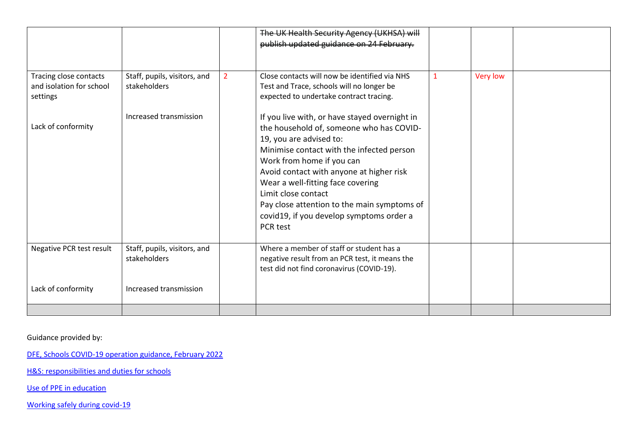|                                                                |                                              |   | The UK Health Security Agency (UKHSA) will<br>publish updated guidance on 24 February.                                                                                                                                                                                                                                                                                                                        |   |                 |  |
|----------------------------------------------------------------|----------------------------------------------|---|---------------------------------------------------------------------------------------------------------------------------------------------------------------------------------------------------------------------------------------------------------------------------------------------------------------------------------------------------------------------------------------------------------------|---|-----------------|--|
| Tracing close contacts<br>and isolation for school<br>settings | Staff, pupils, visitors, and<br>stakeholders | 2 | Close contacts will now be identified via NHS<br>Test and Trace, schools will no longer be<br>expected to undertake contract tracing.                                                                                                                                                                                                                                                                         | 1 | <b>Very low</b> |  |
| Lack of conformity                                             | Increased transmission                       |   | If you live with, or have stayed overnight in<br>the household of, someone who has COVID-<br>19, you are advised to:<br>Minimise contact with the infected person<br>Work from home if you can<br>Avoid contact with anyone at higher risk<br>Wear a well-fitting face covering<br>Limit close contact<br>Pay close attention to the main symptoms of<br>covid19, if you develop symptoms order a<br>PCR test |   |                 |  |
| Negative PCR test result                                       | Staff, pupils, visitors, and<br>stakeholders |   | Where a member of staff or student has a<br>negative result from an PCR test, it means the<br>test did not find coronavirus (COVID-19).                                                                                                                                                                                                                                                                       |   |                 |  |
| Lack of conformity                                             | Increased transmission                       |   |                                                                                                                                                                                                                                                                                                                                                                                                               |   |                 |  |

Guidance provided by:

[DFE, Schools COVID-19 operation guidance, February 2022](https://assets.publishing.service.gov.uk/government/uploads/system/uploads/attachment_data/file/1056212/Schools_COVID-19_operational_guidance_-_February_2022.pdf)

[H&S: responsibilities and duties for schools](https://www.gov.uk/government/publications/health-and-safety-advice-for-schools/responsibilities-and-duties-for-schools)

[Use of PPE in education](https://www.gov.uk/government/publications/safe-working-in-education-childcare-and-childrens-social-care/the-use-of-personal-protective-equipment-ppe-in-education-childcare-and-childrens-social-care-settings-including-for-aerosol-generating-procedure)

[Working safely during covid-19](https://www.gov.uk/guidance/working-safely-during-covid-19?utm_medium=email&utm_campaign=govuk-notifications-topic&utm_source=8559c5c9-b248-4eaf-8768-ccf05d927c59&utm_content=daily)